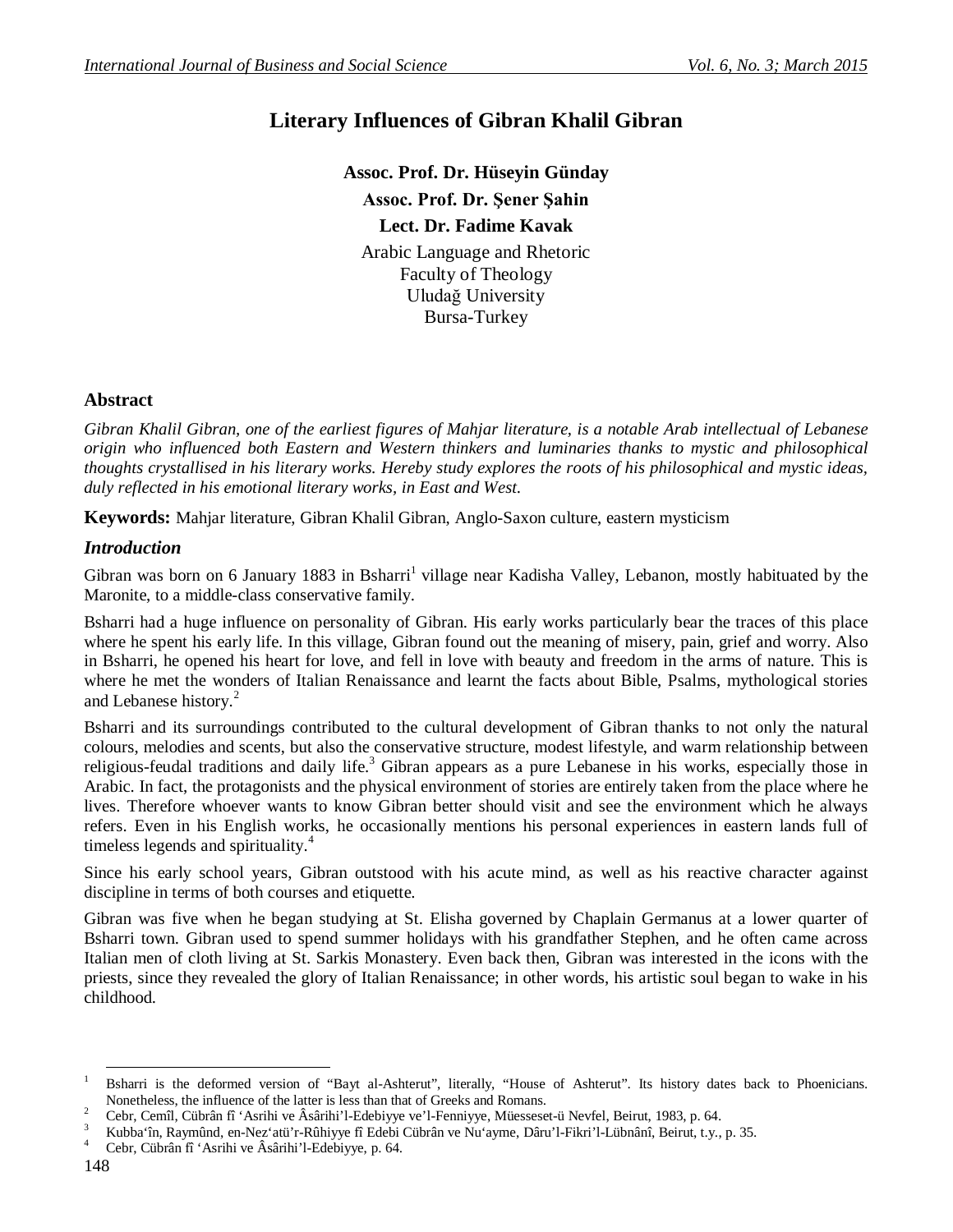# **Literary Influences of Gibran Khalil Gibran**

**Assoc. Prof. Dr. Hüseyin Günday Assoc. Prof. Dr. Şener Şahin Lect. Dr. Fadime Kavak** Arabic Language and Rhetoric Faculty of Theology Uludağ University Bursa-Turkey

### **Abstract**

*Gibran Khalil Gibran, one of the earliest figures of Mahjar literature, is a notable Arab intellectual of Lebanese origin who influenced both Eastern and Western thinkers and luminaries thanks to mystic and philosophical thoughts crystallised in his literary works. Hereby study explores the roots of his philosophical and mystic ideas, duly reflected in his emotional literary works, in East and West.* 

**Keywords:** Mahjar literature, Gibran Khalil Gibran, Anglo-Saxon culture, eastern mysticism

### *Introduction*

Gibran was born on 6 January 1883 in Bsharri<sup>1</sup> village near Kadisha Valley, Lebanon, mostly habituated by the Maronite, to a middle-class conservative family.

Bsharri had a huge influence on personality of Gibran. His early works particularly bear the traces of this place where he spent his early life. In this village, Gibran found out the meaning of misery, pain, grief and worry. Also in Bsharri, he opened his heart for love, and fell in love with beauty and freedom in the arms of nature. This is where he met the wonders of Italian Renaissance and learnt the facts about Bible, Psalms, mythological stories and Lebanese history.<sup>2</sup>

Bsharri and its surroundings contributed to the cultural development of Gibran thanks to not only the natural colours, melodies and scents, but also the conservative structure, modest lifestyle, and warm relationship between religious-feudal traditions and daily life.<sup>3</sup> Gibran appears as a pure Lebanese in his works, especially those in Arabic. In fact, the protagonists and the physical environment of stories are entirely taken from the place where he lives. Therefore whoever wants to know Gibran better should visit and see the environment which he always refers. Even in his English works, he occasionally mentions his personal experiences in eastern lands full of timeless legends and spirituality.<sup>4</sup>

Since his early school years, Gibran outstood with his acute mind, as well as his reactive character against discipline in terms of both courses and etiquette.

Gibran was five when he began studying at St. Elisha governed by Chaplain Germanus at a lower quarter of Bsharri town. Gibran used to spend summer holidays with his grandfather Stephen, and he often came across Italian men of cloth living at St. Sarkis Monastery. Even back then, Gibran was interested in the icons with the priests, since they revealed the glory of Italian Renaissance; in other words, his artistic soul began to wake in his childhood.

<sup>-</sup><sup>1</sup> Bsharri is the deformed version of "Bayt al-Ashterut", literally, "House of Ashterut". Its history dates back to Phoenicians. Nonetheless, the influence of the latter is less than that of Greeks and Romans.

<sup>&</sup>lt;sup>2</sup> Cebr, Cemîl, Cübrân fî 'Asrihi ve Âsârihi'l-Edebiyye ve'l-Fenniyye, Müesseset-ü Nevfel, Beirut, 1983, p. 64.

<sup>&</sup>lt;sup>3</sup> Kubba'în, Raymûnd, en-Nez'atü'r-Rûhiyye fî Edebi Cübrân ve Nu'ayme, Dâru'l-Fikri'l-Lübnânî, Beirut, t.y., p. 35.<br><sup>4</sup> Cebr, Cübrân fî 'Asribi ve Âsâribi'l-Edebiyye, p. 64.

<sup>4</sup> Cebr, Cübrân fî 'Asrihi ve Âsârihi'l-Edebiyye, p. 64.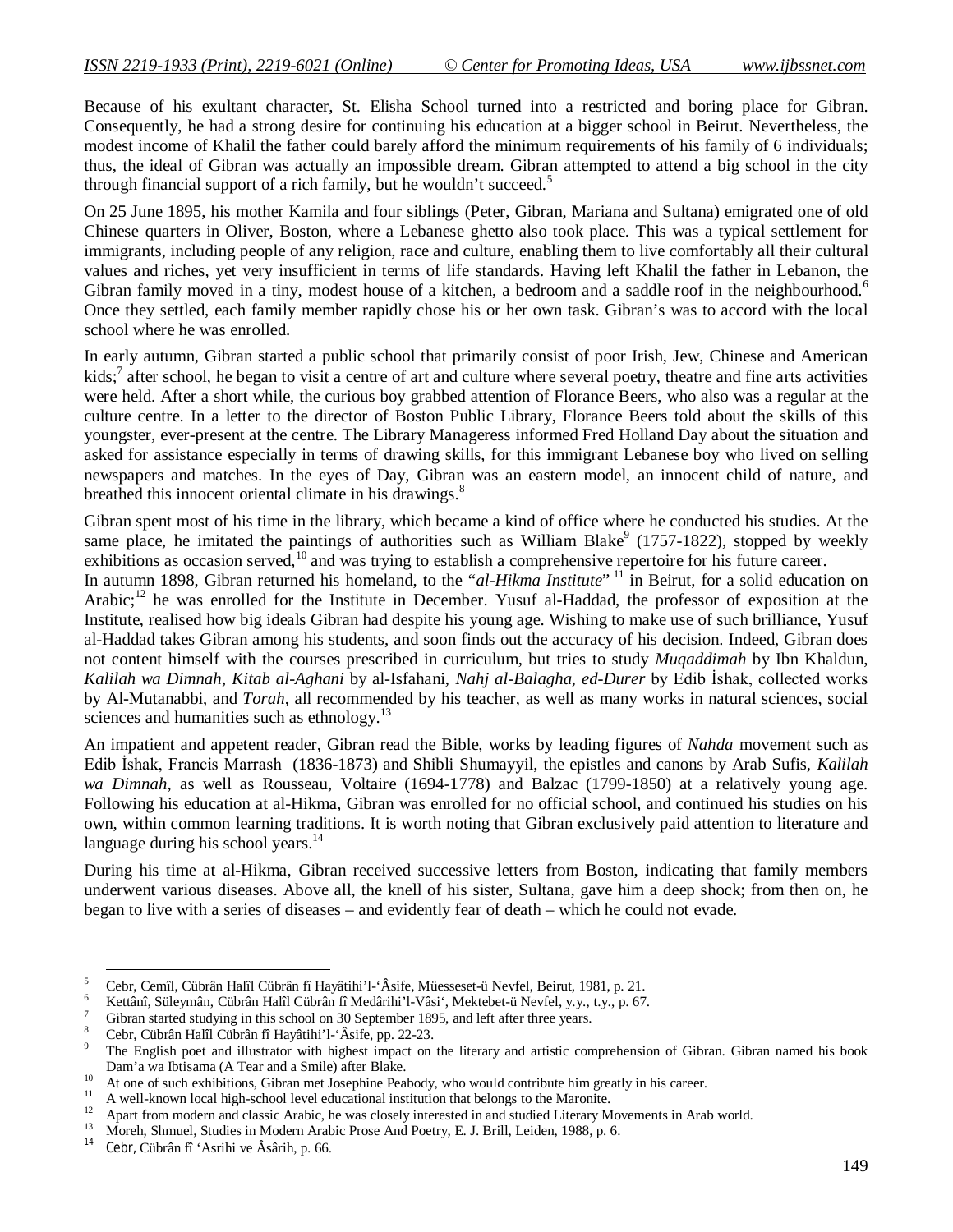Because of his exultant character, St. Elisha School turned into a restricted and boring place for Gibran. Consequently, he had a strong desire for continuing his education at a bigger school in Beirut. Nevertheless, the modest income of Khalil the father could barely afford the minimum requirements of his family of 6 individuals; thus, the ideal of Gibran was actually an impossible dream. Gibran attempted to attend a big school in the city through financial support of a rich family, but he wouldn't succeed.<sup>5</sup>

On 25 June 1895, his mother Kamila and four siblings (Peter, Gibran, Mariana and Sultana) emigrated one of old Chinese quarters in Oliver, Boston, where a Lebanese ghetto also took place. This was a typical settlement for immigrants, including people of any religion, race and culture, enabling them to live comfortably all their cultural values and riches, yet very insufficient in terms of life standards. Having left Khalil the father in Lebanon, the Gibran family moved in a tiny, modest house of a kitchen, a bedroom and a saddle roof in the neighbourhood.<sup>6</sup> Once they settled, each family member rapidly chose his or her own task. Gibran's was to accord with the local school where he was enrolled.

In early autumn, Gibran started a public school that primarily consist of poor Irish, Jew, Chinese and American kids;<sup>7</sup> after school, he began to visit a centre of art and culture where several poetry, theatre and fine arts activities were held. After a short while, the curious boy grabbed attention of Florance Beers, who also was a regular at the culture centre. In a letter to the director of Boston Public Library, Florance Beers told about the skills of this youngster, ever-present at the centre. The Library Manageress informed Fred Holland Day about the situation and asked for assistance especially in terms of drawing skills, for this immigrant Lebanese boy who lived on selling newspapers and matches. In the eyes of Day, Gibran was an eastern model, an innocent child of nature, and breathed this innocent oriental climate in his drawings.<sup>8</sup>

Gibran spent most of his time in the library, which became a kind of office where he conducted his studies. At the same place, he imitated the paintings of authorities such as William Blake<sup>9</sup> (1757-1822), stopped by weekly exhibitions as occasion served,<sup>10</sup> and was trying to establish a comprehensive repertoire for his future career.

In autumn 1898, Gibran returned his homeland, to the "*al-Hikma Institute*" <sup>11</sup> in Beirut, for a solid education on Arabic;<sup>12</sup> he was enrolled for the Institute in December. Yusuf al-Haddad, the professor of exposition at the Institute, realised how big ideals Gibran had despite his young age. Wishing to make use of such brilliance, Yusuf al-Haddad takes Gibran among his students, and soon finds out the accuracy of his decision. Indeed, Gibran does not content himself with the courses prescribed in curriculum, but tries to study *Muqaddimah* by Ibn Khaldun, *Kalilah wa Dimnah*, *Kitab al-Aghani* by al-Isfahani, *Nahj al-Balagha*, *ed-Durer* by Edib İshak, collected works by Al-Mutanabbi, and *Torah*, all recommended by his teacher, as well as many works in natural sciences, social sciences and humanities such as ethnology.<sup>13</sup>

An impatient and appetent reader, Gibran read the Bible, works by leading figures of *Nahda* movement such as Edib İshak, Francis Marrash (1836-1873) and Shibli Shumayyil, the epistles and canons by Arab Sufis, *Kalilah wa Dimnah*, as well as Rousseau, Voltaire (1694-1778) and Balzac (1799-1850) at a relatively young age. Following his education at al-Hikma, Gibran was enrolled for no official school, and continued his studies on his own, within common learning traditions. It is worth noting that Gibran exclusively paid attention to literature and language during his school years.<sup>14</sup>

During his time at al-Hikma, Gibran received successive letters from Boston, indicating that family members underwent various diseases. Above all, the knell of his sister, Sultana, gave him a deep shock; from then on, he began to live with a series of diseases – and evidently fear of death – which he could not evade.

**.** 

<sup>5</sup> Cebr, Cemîl, Cübrân Halîl Cübrân fî Hayâtihi'l-'Âsife, Müesseset-ü Nevfel, Beirut, 1981, p. 21.

<sup>6</sup> Kettânî, Süleymân, Cübrân Halîl Cübrân fî Medârihi'l-Vâsi', Mektebet-ü Nevfel, y.y., t.y., p. 67.

Gibran started studying in this school on 30 September 1895, and left after three years.

<sup>8</sup> Cebr, Cübrân Halîl Cübrân fî Hayâtihi'l-'Âsife, pp. 22-23.

The English poet and illustrator with highest impact on the literary and artistic comprehension of Gibran. Gibran named his book Dam'a wa Ibtisama (A Tear and a Smile) after Blake.

<sup>&</sup>lt;sup>10</sup> At one of such exhibitions, Gibran met Josephine Peabody, who would contribute him greatly in his career.

<sup>&</sup>lt;sup>11</sup> A well-known local high-school level educational institution that belongs to the Maronite.

<sup>&</sup>lt;sup>12</sup> Apart from modern and classic Arabic, he was closely interested in and studied Literary Movements in Arab world.<br><sup>13</sup> March Shared St. Literary Modern Arab Development in Development in Literary Movements in Arab wor

<sup>&</sup>lt;sup>13</sup> Moreh, Shmuel, Studies in Modern Arabic Prose And Poetry, E. J. Brill, Leiden, 1988, p. 6.<br><sup>14</sup> Cohr Gührân fî tArribi yn Ârârib yn GG

<sup>14</sup> Cebr, Cübrân fî 'Asrihi ve Âsârih, p. 66.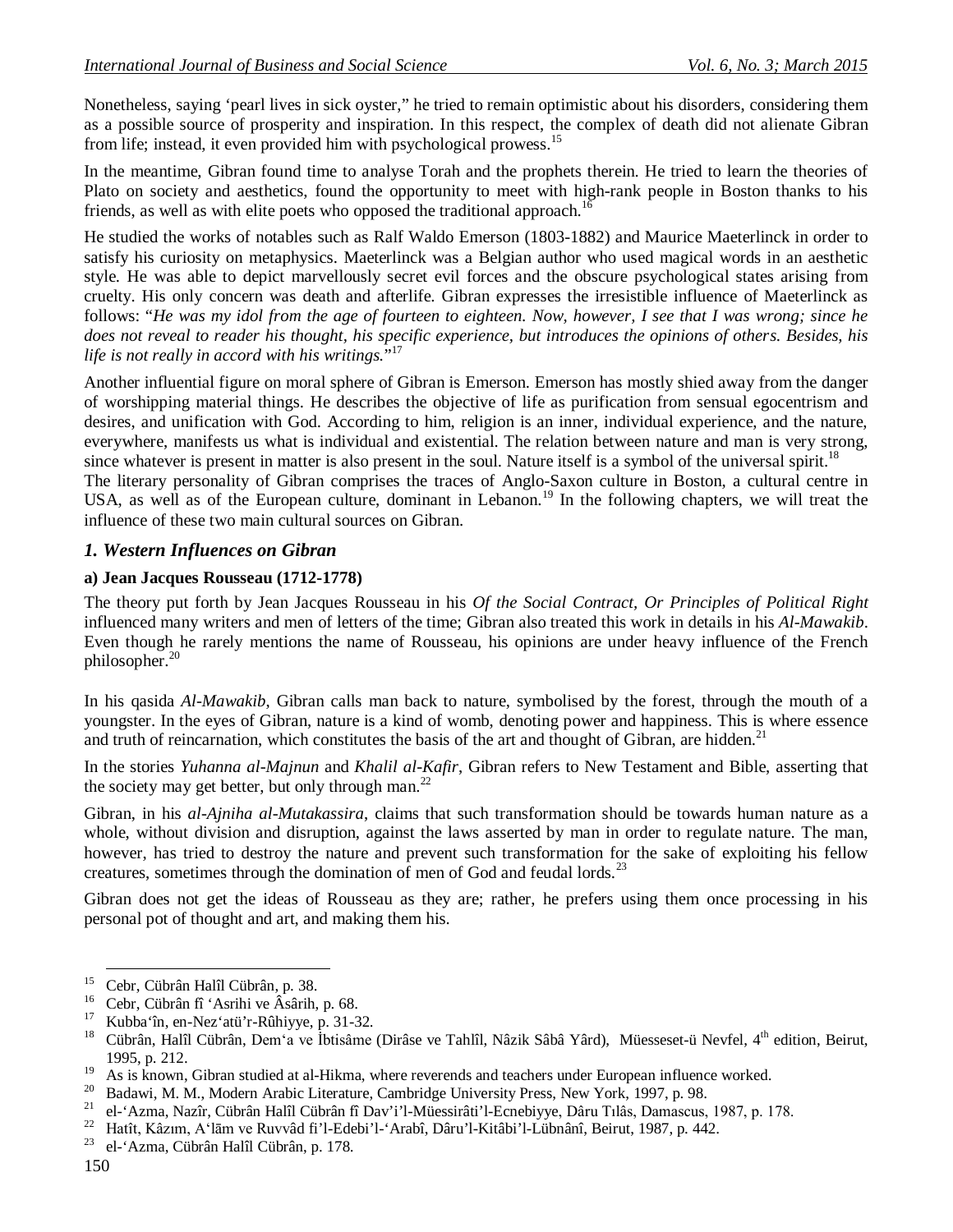Nonetheless, saying 'pearl lives in sick oyster," he tried to remain optimistic about his disorders, considering them as a possible source of prosperity and inspiration. In this respect, the complex of death did not alienate Gibran from life; instead, it even provided him with psychological prowess.<sup>15</sup>

In the meantime, Gibran found time to analyse Torah and the prophets therein. He tried to learn the theories of Plato on society and aesthetics, found the opportunity to meet with high-rank people in Boston thanks to his friends, as well as with elite poets who opposed the traditional approach.<sup>16</sup>

He studied the works of notables such as Ralf Waldo Emerson (1803-1882) and Maurice Maeterlinck in order to satisfy his curiosity on metaphysics. Maeterlinck was a Belgian author who used magical words in an aesthetic style. He was able to depict marvellously secret evil forces and the obscure psychological states arising from cruelty. His only concern was death and afterlife. Gibran expresses the irresistible influence of Maeterlinck as follows: "*He was my idol from the age of fourteen to eighteen. Now, however, I see that I was wrong; since he does not reveal to reader his thought, his specific experience, but introduces the opinions of others. Besides, his life is not really in accord with his writings.*" 17

Another influential figure on moral sphere of Gibran is Emerson. Emerson has mostly shied away from the danger of worshipping material things. He describes the objective of life as purification from sensual egocentrism and desires, and unification with God. According to him, religion is an inner, individual experience, and the nature, everywhere, manifests us what is individual and existential. The relation between nature and man is very strong, since whatever is present in matter is also present in the soul. Nature itself is a symbol of the universal spirit.<sup>18</sup>

The literary personality of Gibran comprises the traces of Anglo-Saxon culture in Boston, a cultural centre in USA, as well as of the European culture, dominant in Lebanon.<sup>19</sup> In the following chapters, we will treat the influence of these two main cultural sources on Gibran.

### *1. Western Influences on Gibran*

#### **a) Jean Jacques Rousseau (1712-1778)**

The theory put forth by Jean Jacques Rousseau in his *Of the Social Contract, Or Principles of Political Right* influenced many writers and men of letters of the time; Gibran also treated this work in details in his *Al-Mawakib*. Even though he rarely mentions the name of Rousseau, his opinions are under heavy influence of the French philosopher. $20$ 

In his qasida *Al-Mawakib*, Gibran calls man back to nature, symbolised by the forest, through the mouth of a youngster. In the eyes of Gibran, nature is a kind of womb, denoting power and happiness. This is where essence and truth of reincarnation, which constitutes the basis of the art and thought of Gibran, are hidden.<sup>21</sup>

In the stories *Yuhanna al-Majnun* and *Khalil al-Kafir*, Gibran refers to New Testament and Bible, asserting that the society may get better, but only through man.<sup>22</sup>

Gibran, in his *al-Ajniha al-Mutakassira*, claims that such transformation should be towards human nature as a whole, without division and disruption, against the laws asserted by man in order to regulate nature. The man, however, has tried to destroy the nature and prevent such transformation for the sake of exploiting his fellow creatures, sometimes through the domination of men of God and feudal lords.<sup>23</sup>

Gibran does not get the ideas of Rousseau as they are; rather, he prefers using them once processing in his personal pot of thought and art, and making them his.

-

<sup>&</sup>lt;sup>15</sup> Cebr, Cübrân Halîl Cübrân, p. 38.<br><sup>16</sup> Cebr, Cübrân fî 14 cribi va Âgârib.

<sup>&</sup>lt;sup>16</sup> Cebr, Cübrân fî 'Asrihi ve Âsârih, p. 68.

<sup>&</sup>lt;sup>17</sup> Kubba'în, en-Nez'atü'r-Rûhiyye, p. 31-32.<br><sup>18</sup> Gübrên, Halîl Gübrên, Dam'a ya İbtisêma

<sup>18</sup> Cübrân, Halîl Cübrân, Dem'a ve İbtisâme (Dirâse ve Tahlîl, Nâzik Sâbâ Yârd), Müesseset-ü Nevfel, 4th edition, Beirut, 1995, p. 212.

<sup>&</sup>lt;sup>19</sup> As is known, Gibran studied at al-Hikma, where reverends and teachers under European influence worked.<br><sup>20</sup> Bedavi: M. M. Medawn Archie Literature, Cambridge University Press, Navy Yerk, 1007 n. 08

<sup>&</sup>lt;sup>20</sup> Badawi, M. M., Modern Arabic Literature, Cambridge University Press, New York, 1997, p. 98.<br><sup>21</sup> el 'Azma Nazîr Cübrân Halîl Cübrân fî Dav'i'l-Müessirâti'l-Ecnebiyye, Dâru Tilâs, Damascus

<sup>&</sup>lt;sup>21</sup> el-'Azma, Nazîr, Cübrân Halîl Cübrân fî Dav'i'l-Müessirâti'l-Ecnebiyye, Dâru Tılâs, Damascus, 1987, p. 178.<br><sup>22</sup> Hatît Kêzim, A'lām ve Buyyêd fi'l Edebi'l 'Arabî, Dêru'l Kitêbi'l Lübnênî, Bejrut, 1987, p. 442.

<sup>&</sup>lt;sup>22</sup> Hatît, Kâzım, A'lām ve Ruvvâd fi'l-Edebi'l-'Arabî, Dâru'l-Kitâbi'l-Lübnânî, Beirut, 1987, p. 442.<br><sup>23</sup> el 'Azma Cübrân Halîl Cübrân n 178

<sup>23</sup> el-'Azma, Cübrân Halîl Cübrân, p. 178.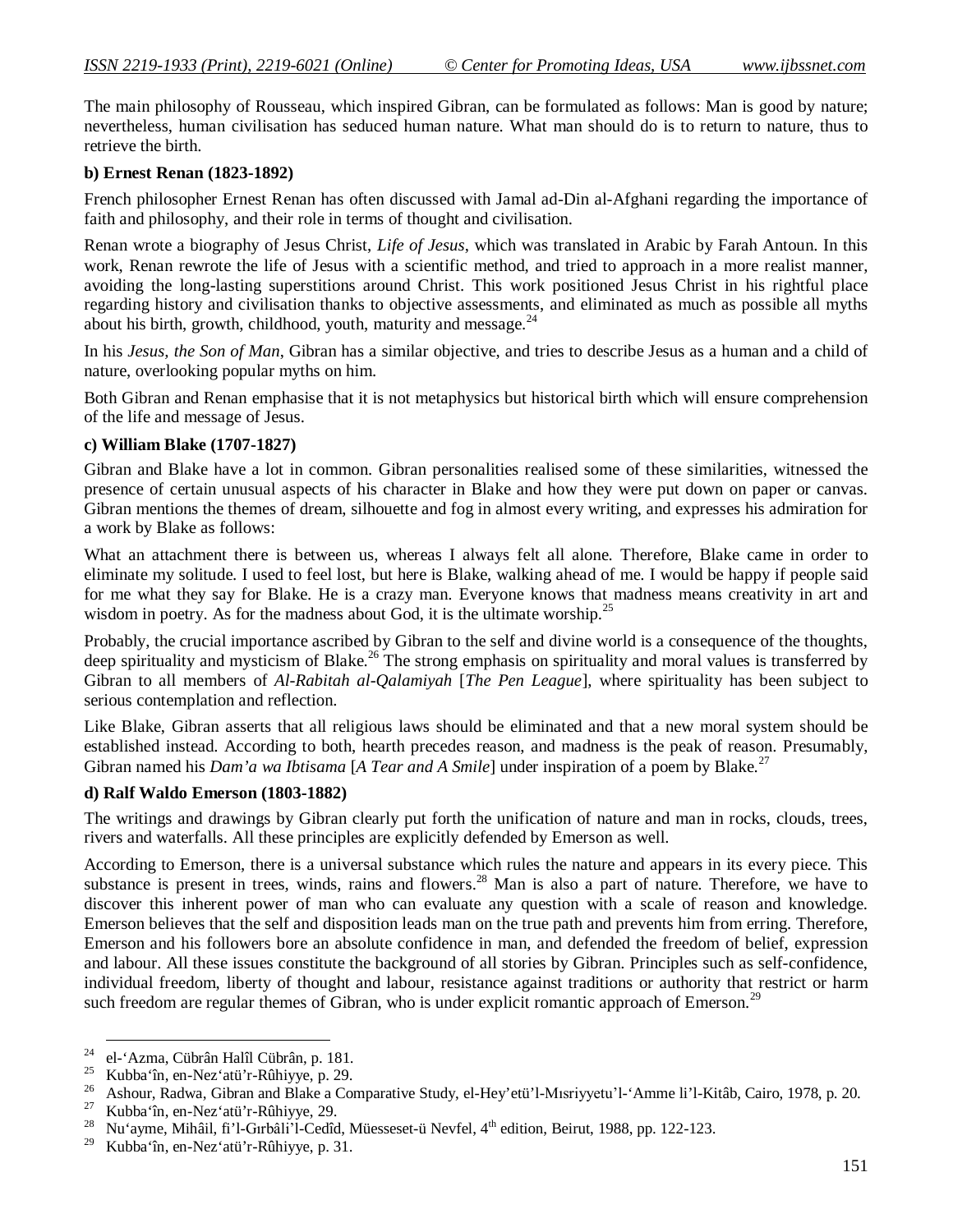The main philosophy of Rousseau, which inspired Gibran, can be formulated as follows: Man is good by nature; nevertheless, human civilisation has seduced human nature. What man should do is to return to nature, thus to retrieve the birth.

#### **b) Ernest Renan (1823-1892)**

French philosopher Ernest Renan has often discussed with Jamal ad-Din al-Afghani regarding the importance of faith and philosophy, and their role in terms of thought and civilisation.

Renan wrote a biography of Jesus Christ, *Life of Jesus*, which was translated in Arabic by Farah Antoun. In this work, Renan rewrote the life of Jesus with a scientific method, and tried to approach in a more realist manner, avoiding the long-lasting superstitions around Christ. This work positioned Jesus Christ in his rightful place regarding history and civilisation thanks to objective assessments, and eliminated as much as possible all myths about his birth, growth, childhood, youth, maturity and message. $^{24}$ 

In his *Jesus, the Son of Man*, Gibran has a similar objective, and tries to describe Jesus as a human and a child of nature, overlooking popular myths on him.

Both Gibran and Renan emphasise that it is not metaphysics but historical birth which will ensure comprehension of the life and message of Jesus.

#### **c) William Blake (1707-1827)**

Gibran and Blake have a lot in common. Gibran personalities realised some of these similarities, witnessed the presence of certain unusual aspects of his character in Blake and how they were put down on paper or canvas. Gibran mentions the themes of dream, silhouette and fog in almost every writing, and expresses his admiration for a work by Blake as follows:

What an attachment there is between us, whereas I always felt all alone. Therefore, Blake came in order to eliminate my solitude. I used to feel lost, but here is Blake, walking ahead of me. I would be happy if people said for me what they say for Blake. He is a crazy man. Everyone knows that madness means creativity in art and wisdom in poetry. As for the madness about God, it is the ultimate worship.<sup>25</sup>

Probably, the crucial importance ascribed by Gibran to the self and divine world is a consequence of the thoughts, deep spirituality and mysticism of Blake.<sup>26</sup> The strong emphasis on spirituality and moral values is transferred by Gibran to all members of *Al-Rabitah al-Qalamiyah* [*The Pen League*], where spirituality has been subject to serious contemplation and reflection.

Like Blake, Gibran asserts that all religious laws should be eliminated and that a new moral system should be established instead. According to both, hearth precedes reason, and madness is the peak of reason. Presumably, Gibran named his *Dam'a wa Ibtisama* [*A Tear and A Smile*] under inspiration of a poem by Blake.<sup>27</sup>

### **d) Ralf Waldo Emerson (1803-1882)**

The writings and drawings by Gibran clearly put forth the unification of nature and man in rocks, clouds, trees, rivers and waterfalls. All these principles are explicitly defended by Emerson as well.

According to Emerson, there is a universal substance which rules the nature and appears in its every piece. This substance is present in trees, winds, rains and flowers.<sup>28</sup> Man is also a part of nature. Therefore, we have to discover this inherent power of man who can evaluate any question with a scale of reason and knowledge. Emerson believes that the self and disposition leads man on the true path and prevents him from erring. Therefore, Emerson and his followers bore an absolute confidence in man, and defended the freedom of belief, expression and labour. All these issues constitute the background of all stories by Gibran. Principles such as self-confidence, individual freedom, liberty of thought and labour, resistance against traditions or authority that restrict or harm such freedom are regular themes of Gibran, who is under explicit romantic approach of Emerson.<sup>29</sup>

<sup>-</sup><sup>24</sup> el-'Azma, Cübrân Halîl Cübrân, p. 181.

<sup>&</sup>lt;sup>25</sup> Kubba'în, en-Nez'atü'r-Rûhiyye, p. 29.<br><sup>26</sup> Ashaya, Badyya, Gibran and Blake a Gar

<sup>&</sup>lt;sup>26</sup> Ashour, Radwa, Gibran and Blake a Comparative Study, el-Hey'etü'l-Mısriyyetu'l-'Amme li'l-Kitâb, Cairo, 1978, p. 20.

<sup>&</sup>lt;sup>27</sup> Kubba'în, en-Nez'atü'r-Rûhiyye, 29.<br><sup>28</sup> Nu'ovma Mihêil fi'l Gybêli'l Godîd

<sup>&</sup>lt;sup>28</sup> Nu'ayme, Mihâil, fi'l-Gırbâli'l-Cedîd, Müesseset-ü Nevfel, 4<sup>th</sup> edition, Beirut, 1988, pp. 122-123.

<sup>29</sup> Kubba'în, en-Nez'atü'r-Rûhiyye, p. 31.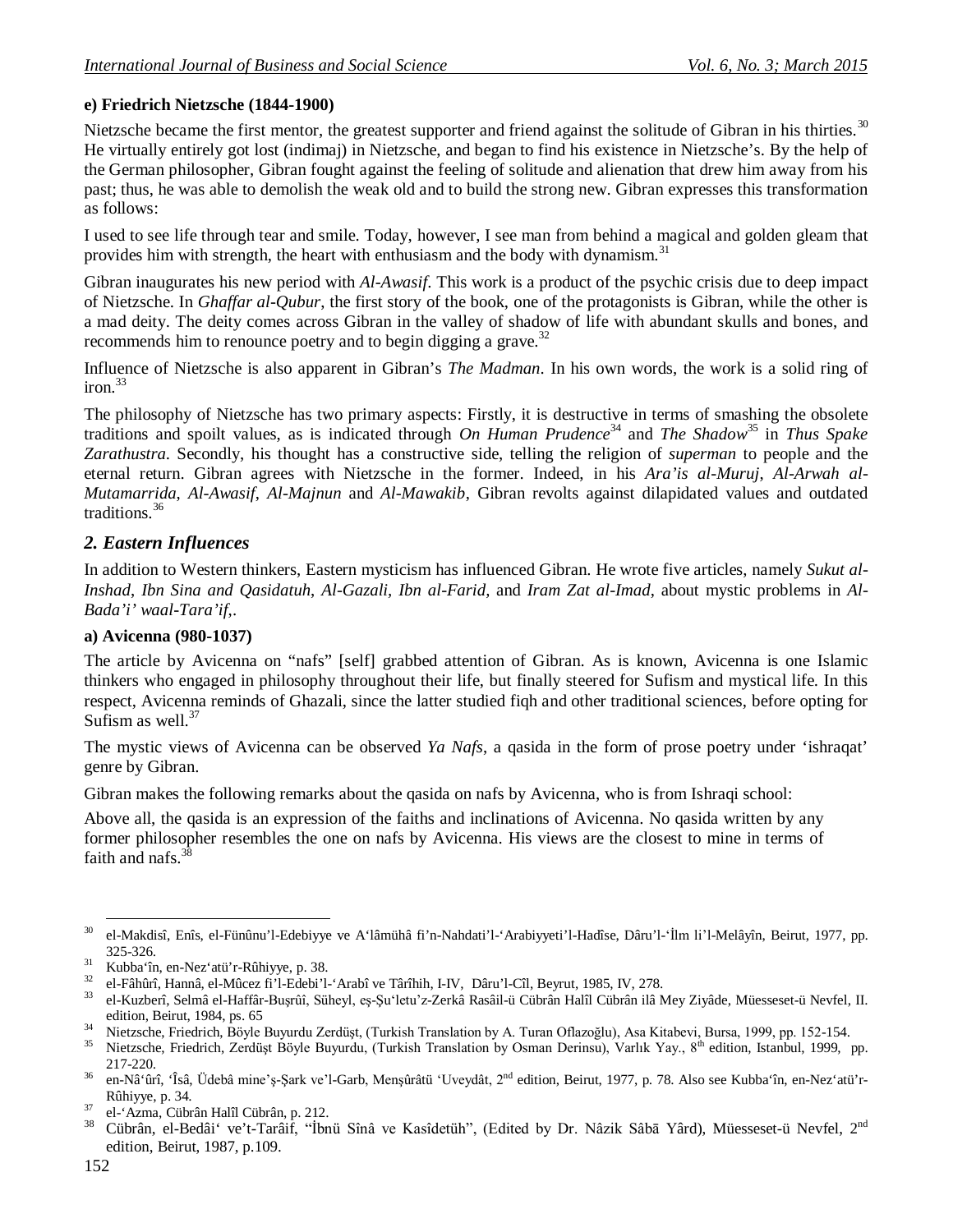### **e) Friedrich Nietzsche (1844-1900)**

Nietzsche became the first mentor, the greatest supporter and friend against the solitude of Gibran in his thirties.<sup>30</sup> He virtually entirely got lost (indimaj) in Nietzsche, and began to find his existence in Nietzsche's. By the help of the German philosopher, Gibran fought against the feeling of solitude and alienation that drew him away from his past; thus, he was able to demolish the weak old and to build the strong new. Gibran expresses this transformation as follows:

I used to see life through tear and smile. Today, however, I see man from behind a magical and golden gleam that provides him with strength, the heart with enthusiasm and the body with dynamism.<sup>31</sup>

Gibran inaugurates his new period with *Al-Awasif*. This work is a product of the psychic crisis due to deep impact of Nietzsche. In *Ghaffar al-Qubur*, the first story of the book, one of the protagonists is Gibran, while the other is a mad deity. The deity comes across Gibran in the valley of shadow of life with abundant skulls and bones, and recommends him to renounce poetry and to begin digging a grave.<sup>32</sup>

Influence of Nietzsche is also apparent in Gibran's *The Madman*. In his own words, the work is a solid ring of  $i$ ron. $33$ 

The philosophy of Nietzsche has two primary aspects: Firstly, it is destructive in terms of smashing the obsolete traditions and spoilt values, as is indicated through *On Human Prudence*<sup>34</sup> and *The Shadow*<sup>35</sup> in *Thus Spake Zarathustra*. Secondly, his thought has a constructive side, telling the religion of *superman* to people and the eternal return. Gibran agrees with Nietzsche in the former. Indeed, in his *Ara'is al-Muruj*, *Al-Arwah al-Mutamarrida*, *Al-Awasif*, *Al-Majnun* and *Al-Mawakib*, Gibran revolts against dilapidated values and outdated traditions.<sup>36</sup>

### *2. Eastern Influences*

In addition to Western thinkers, Eastern mysticism has influenced Gibran. He wrote five articles, namely *Sukut al-Inshad*, *Ibn Sina and Qasidatuh*, *Al-Gazali, Ibn al-Farid,* and *Iram Zat al-Imad*, about mystic problems in *Al-Bada'i' waal-Tara'if*,.

### **a) Avicenna (980-1037)**

The article by Avicenna on "nafs" [self] grabbed attention of Gibran. As is known, Avicenna is one Islamic thinkers who engaged in philosophy throughout their life, but finally steered for Sufism and mystical life. In this respect, Avicenna reminds of Ghazali, since the latter studied fiqh and other traditional sciences, before opting for Sufism as well  $37$ 

The mystic views of Avicenna can be observed *Ya Nafs*, a qasida in the form of prose poetry under 'ishraqat' genre by Gibran.

Gibran makes the following remarks about the qasida on nafs by Avicenna, who is from Ishraqi school:

Above all, the qasida is an expression of the faiths and inclinations of Avicenna. No qasida written by any former philosopher resembles the one on nafs by Avicenna. His views are the closest to mine in terms of faith and nafs.<sup>38</sup>

**<sup>.</sup>** <sup>30</sup> el-Makdisî, Enîs, el-Fünûnu'l-Edebiyye ve A'lâmühâ fi'n-Nahdati'l-'Arabiyyeti'l-Hadîse, Dâru'l-'İlm li'l-Melâyîn, Beirut, 1977, pp. 325-326.

<sup>31</sup> Kubba'în, en-Nez'atü'r-Rûhiyye, p. 38.

<sup>&</sup>lt;sup>32</sup> el-Fâhûrî, Hannâ, el-Mûcez fi'l-Edebi'l-'Arabî ve Târîhih, I-IV, Dâru'l-Cîl, Beyrut, 1985, IV, 278.<br><sup>33</sup> el Kuzbarî, Salmê el Heffêr Busrûî, Sühayl, es Su'letu'z Zarkê Beşêji ji Gübrên Helîl Gübrên jiê b

<sup>33</sup> el-Kuzberî, Selmâ el-Haffâr-Buşrûî, Süheyl, eş-Şu'letu'z-Zerkâ Rasâil-ü Cübrân Halîl Cübrân ilâ Mey Ziyâde, Müesseset-ü Nevfel, II. edition, Beirut, 1984, ps. 65

<sup>&</sup>lt;sup>34</sup> Nietzsche, Friedrich, Böyle Buyurdu Zerdüşt, (Turkish Translation by A. Turan Oflazoğlu), Asa Kitabevi, Bursa, 1999, pp. 152-154.

Nietzsche, Friedrich, Zerdüşt Böyle Buyurdu, (Turkish Translation by Osman Derinsu), Varlık Yay., 8<sup>th</sup> edition, Istanbul, 1999, pp. 217-220.

<sup>&</sup>lt;sup>36</sup> en-Nâ'ûrî, 'Îsâ, Üdebâ mine'ş-Şark ve'l-Garb, Menşûrâtü 'Uveydât, 2<sup>nd</sup> edition, Beirut, 1977, p. 78. Also see Kubba'în, en-Nez'atü'r-Rûhiyye, p. 34.

<sup>37</sup> el-'Azma, Cübrân Halîl Cübrân, p. 212.

<sup>38</sup> Cübrân, el-Bedâi' ve't-Tarâif, "İbnü Sînâ ve Kasîdetüh", (Edited by Dr. Nâzik Sâbā Yârd), Müesseset-ü Nevfel, 2nd edition, Beirut, 1987, p.109.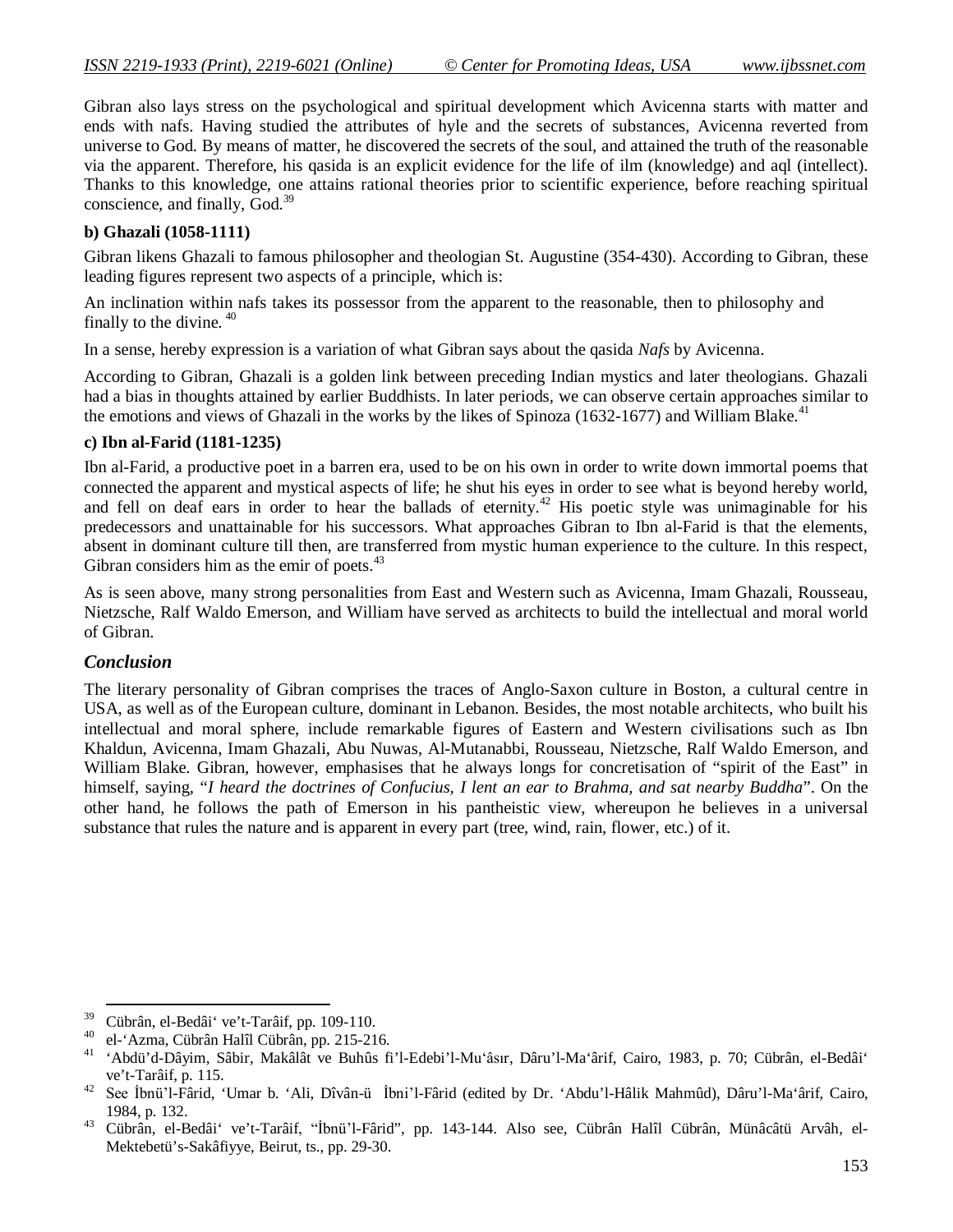Gibran also lays stress on the psychological and spiritual development which Avicenna starts with matter and ends with nafs. Having studied the attributes of hyle and the secrets of substances, Avicenna reverted from universe to God. By means of matter, he discovered the secrets of the soul, and attained the truth of the reasonable via the apparent. Therefore, his qasida is an explicit evidence for the life of ilm (knowledge) and aql (intellect). Thanks to this knowledge, one attains rational theories prior to scientific experience, before reaching spiritual conscience, and finally, God.<sup>39</sup>

### **b) Ghazali (1058-1111)**

Gibran likens Ghazali to famous philosopher and theologian St. Augustine (354-430). According to Gibran, these leading figures represent two aspects of a principle, which is:

An inclination within nafs takes its possessor from the apparent to the reasonable, then to philosophy and finally to the divine. <sup>40</sup>

In a sense, hereby expression is a variation of what Gibran says about the qasida *Nafs* by Avicenna.

According to Gibran, Ghazali is a golden link between preceding Indian mystics and later theologians. Ghazali had a bias in thoughts attained by earlier Buddhists. In later periods, we can observe certain approaches similar to the emotions and views of Ghazali in the works by the likes of Spinoza (1632-1677) and William Blake.<sup>41</sup>

#### **c) Ibn al-Farid (1181-1235)**

Ibn al-Farid, a productive poet in a barren era, used to be on his own in order to write down immortal poems that connected the apparent and mystical aspects of life; he shut his eyes in order to see what is beyond hereby world, and fell on deaf ears in order to hear the ballads of eternity.<sup>42</sup> His poetic style was unimaginable for his predecessors and unattainable for his successors. What approaches Gibran to Ibn al-Farid is that the elements, absent in dominant culture till then, are transferred from mystic human experience to the culture. In this respect, Gibran considers him as the emir of poets. $43$ 

As is seen above, many strong personalities from East and Western such as Avicenna, Imam Ghazali, Rousseau, Nietzsche, Ralf Waldo Emerson, and William have served as architects to build the intellectual and moral world of Gibran.

#### *Conclusion*

**.** 

The literary personality of Gibran comprises the traces of Anglo-Saxon culture in Boston, a cultural centre in USA, as well as of the European culture, dominant in Lebanon. Besides, the most notable architects, who built his intellectual and moral sphere, include remarkable figures of Eastern and Western civilisations such as Ibn Khaldun, Avicenna, Imam Ghazali, Abu Nuwas, Al-Mutanabbi, Rousseau, Nietzsche, Ralf Waldo Emerson, and William Blake. Gibran, however, emphasises that he always longs for concretisation of "spirit of the East" in himself, saying, "*I heard the doctrines of Confucius, I lent an ear to Brahma, and sat nearby Buddha*". On the other hand, he follows the path of Emerson in his pantheistic view, whereupon he believes in a universal substance that rules the nature and is apparent in every part (tree, wind, rain, flower, etc.) of it.

<sup>&</sup>lt;sup>39</sup> Cübrân, el-Bedâi' ve't-Tarâif, pp. 109-110.<br><sup>40</sup> el tâmus Cübrân Halîl Cübrân nn 215-21.

<sup>&</sup>lt;sup>40</sup> el-'Azma, Cübrân Halîl Cübrân, pp. 215-216.

<sup>41</sup> 'Abdü'd-Dâyim, Sâbir, Makâlât ve Buhûs fi'l-Edebi'l-Mu'âsır, Dâru'l-Ma'ârif, Cairo, 1983, p. 70; Cübrân, el-Bedâi' ve't-Tarâif, p. 115.

<sup>42</sup> See İbnü'l-Fârid, 'Umar b. 'Ali, Dîvân-ü İbni'l-Fârid (edited by Dr. 'Abdu'l-Hâlik Mahmûd), Dâru'l-Ma'ârif, Cairo, 1984, p. 132.

<sup>43</sup> Cübrân, el-Bedâi' ve't-Tarâif, "İbnü'l-Fârid", pp. 143-144. Also see, Cübrân Halîl Cübrân, Münâcâtü Arvâh, el-Mektebetü's-Sakâfiyye, Beirut, ts., pp. 29-30.